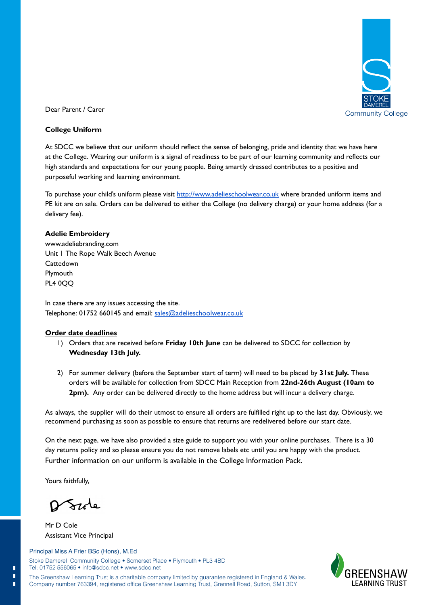

Dear Parent / Carer

### **College Uniform**

At SDCC we believe that our uniform should reflect the sense of belonging, pride and identity that we have here at the College. Wearing our uniform is a signal of readiness to be part of our learning community and reflects our high standards and expectations for our young people. Being smartly dressed contributes to a positive and purposeful working and learning environment.

To purchase your child's uniform please visit http://www.adelieschoolwear.co.uk where branded uniform items and PE kit are on sale. Orders can be delivered to either the College (no delivery charge) or your home address (for a delivery fee).

### **Adelie Embroidery**

www.adeliebranding.com Unit 1 The Rope Walk Beech Avenue **Cattedown** Plymouth PL4 0QQ

In case there are any issues accessing the site. Telephone: 01752 660145 and email: sales@adelieschoolwear.co.uk

### **Order date deadlines**

- 1) Orders that are received before **Friday 10th June** can be delivered to SDCC for collection by **Wednesday 13th July.**
- 2) For summer delivery (before the September start of term) will need to be placed by **31st July.** These orders will be available for collection from SDCC Main Reception from **22nd-26th August (10am to 2pm).** Any order can be delivered directly to the home address but will incur a delivery charge.

As always, the supplier will do their utmost to ensure all orders are fulfilled right up to the last day. Obviously, we recommend purchasing as soon as possible to ensure that returns are redelivered before our start date.

On the next page, we have also provided a size guide to support you with your online purchases. There is a 30 day returns policy and so please ensure you do not remove labels etc until you are happy with the product. Further information on our uniform is available in the College Information Pack.

Yours faithfully,

Szzle

Mr D Cole Assistant Vice Principal

## Principal Miss A Frier BSc (Hons), M.Ed

Stoke Damerel Community College • Somerset Place • Plymouth • PL3 4BD Tel: 01752 556065 • info@sdcc.net • www.sdcc.net

**FARNING TRUST**